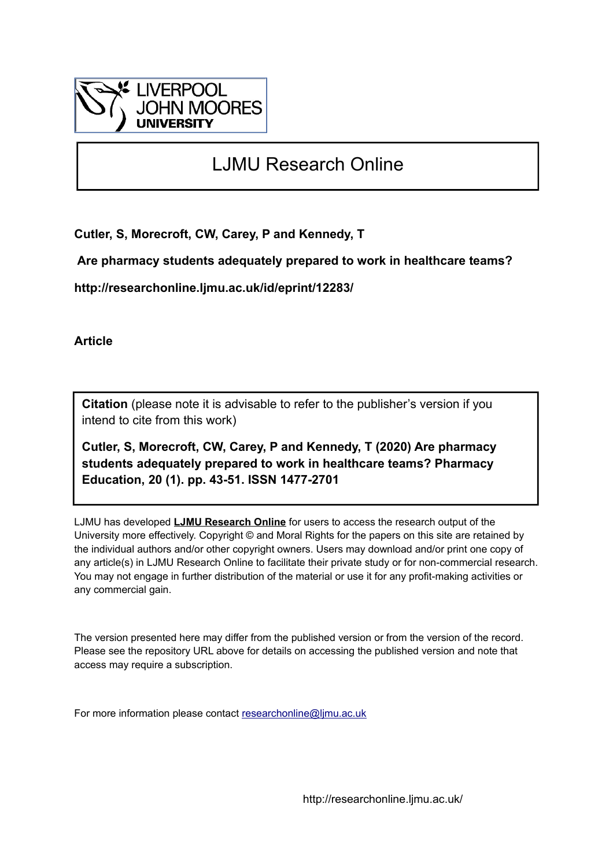

# LJMU Research Online

**Cutler, S, Morecroft, CW, Carey, P and Kennedy, T**

 **Are pharmacy students adequately prepared to work in healthcare teams?**

**http://researchonline.ljmu.ac.uk/id/eprint/12283/**

**Article**

**Citation** (please note it is advisable to refer to the publisher's version if you intend to cite from this work)

**Cutler, S, Morecroft, CW, Carey, P and Kennedy, T (2020) Are pharmacy students adequately prepared to work in healthcare teams? Pharmacy Education, 20 (1). pp. 43-51. ISSN 1477-2701** 

LJMU has developed **[LJMU Research Online](http://researchonline.ljmu.ac.uk/)** for users to access the research output of the University more effectively. Copyright © and Moral Rights for the papers on this site are retained by the individual authors and/or other copyright owners. Users may download and/or print one copy of any article(s) in LJMU Research Online to facilitate their private study or for non-commercial research. You may not engage in further distribution of the material or use it for any profit-making activities or any commercial gain.

The version presented here may differ from the published version or from the version of the record. Please see the repository URL above for details on accessing the published version and note that access may require a subscription.

For more information please contact [researchonline@ljmu.ac.uk](mailto:researchonline@ljmu.ac.uk)

http://researchonline.ljmu.ac.uk/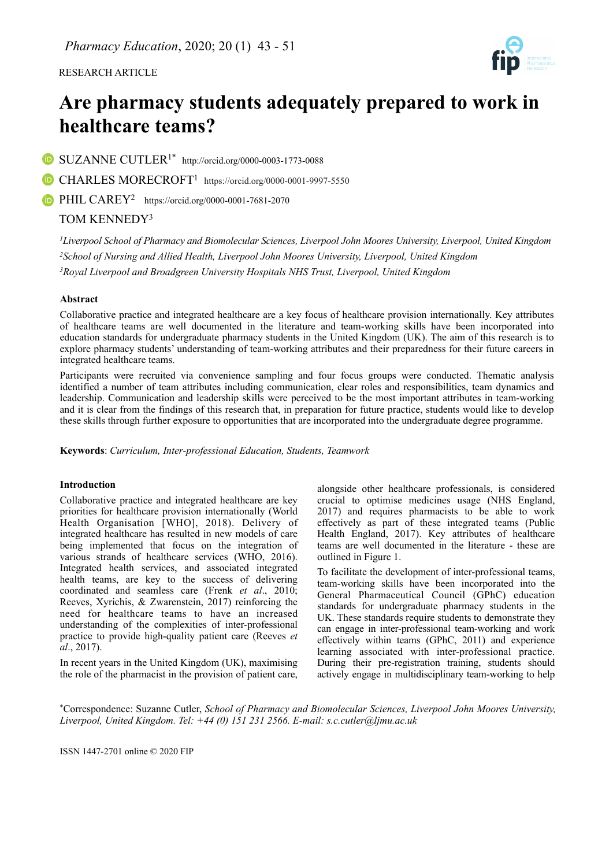RESEARCH ARTICLE



# **Are pharmacy students adequately prepared to work in healthcare teams?**

SUZANNE CUTLER1\* <http://orcid.org/0000-0003-1773-0088>

CHARLES MORECROFT1 https://orcid.org/0000-0001-9997-5550

**D** PHIL CAREY<sup>2</sup> https://orcid.org/0000-0001-7681-2070

## TOM KENNEDY<sup>3</sup>

*1Liverpool School of Pharmacy and Biomolecular Sciences, Liverpool John Moores University, Liverpool, United Kingdom 2School of Nursing and Allied Health, Liverpool John Moores University, Liverpool, United Kingdom 3Royal Liverpool and Broadgreen University Hospitals NHS Trust, Liverpool, United Kingdom*

## **Abstract**

Collaborative practice and integrated healthcare are a key focus of healthcare provision internationally. Key attributes of healthcare teams are well documented in the literature and team-working skills have been incorporated into education standards for undergraduate pharmacy students in the United Kingdom (UK). The aim of this research is to explore pharmacy students' understanding of team-working attributes and their preparedness for their future careers in integrated healthcare teams.

Participants were recruited via convenience sampling and four focus groups were conducted. Thematic analysis identified a number of team attributes including communication, clear roles and responsibilities, team dynamics and leadership. Communication and leadership skills were perceived to be the most important attributes in team-working and it is clear from the findings of this research that, in preparation for future practice, students would like to develop these skills through further exposure to opportunities that are incorporated into the undergraduate degree programme.

**Keywords**: *Curriculum, Inter-professional Education, Students, Teamwork*

## **Introduction**

Collaborative practice and integrated healthcare are key priorities for healthcare provision internationally (World Health Organisation [WHO], 2018). Delivery of integrated healthcare has resulted in new models of care being implemented that focus on the integration of various strands of healthcare services (WHO, 2016). Integrated health services, and associated integrated health teams, are key to the success of delivering coordinated and seamless care (Frenk *et al*., 2010; Reeves, Xyrichis, & Zwarenstein, 2017) reinforcing the need for healthcare teams to have an increased understanding of the complexities of inter-professional practice to provide high-quality patient care (Reeves *et al*., 2017).

In recent years in the United Kingdom (UK), maximising the role of the pharmacist in the provision of patient care, alongside other healthcare professionals, is considered crucial to optimise medicines usage (NHS England, 2017) and requires pharmacists to be able to work effectively as part of these integrated teams (Public Health England, 2017). Key attributes of healthcare teams are well documented in the literature - these are outlined in Figure 1.

To facilitate the development of inter-professional teams, team-working skills have been incorporated into the General Pharmaceutical Council (GPhC) education standards for undergraduate pharmacy students in the UK. These standards require students to demonstrate they can engage in inter-professional team-working and work effectively within teams (GPhC, 2011) and experience learning associated with inter-professional practice. During their pre-registration training, students should actively engage in multidisciplinary team-working to help

\*Correspondence: Suzanne Cutler, *School of Pharmacy and Biomolecular Sciences, Liverpool John Moores University, Liverpool, United Kingdom. Tel: +44 (0) 151 231 2566. E-mail: [s.c.cutler@ljmu.ac.uk](mailto:s.c.cutler@ljmu.ac.uk)*

ISSN 1447-2701 online © 2020 FIP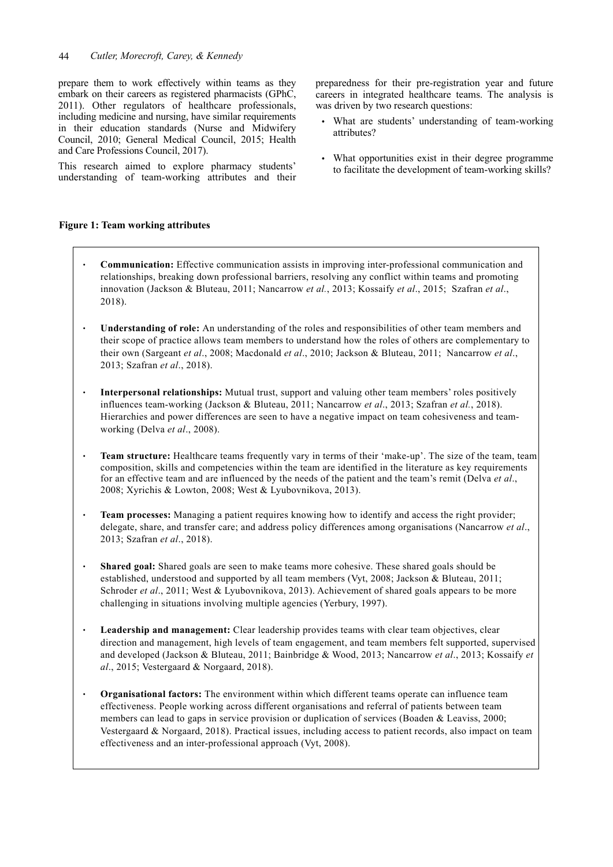prepare them to work effectively within teams as they embark on their careers as registered pharmacists (GPhC, 2011). Other regulators of healthcare professionals, including medicine and nursing, have similar requirements in their education standards (Nurse and Midwifery Council, 2010; General Medical Council, 2015; Health and Care Professions Council, 2017).

This research aimed to explore pharmacy students' understanding of team-working attributes and their

## **Figure 1: Team working attributes**

- **Communication:** Effective communication assists in improving inter-professional communication and relationships, breaking down professional barriers, resolving any conflict within teams and promoting innovation (Jackson & Bluteau, 2011; Nancarrow *et al.*, 2013; Kossaify *et al*., 2015; Szafran *et al*., 2018).
- **Understanding of role:** An understanding of the roles and responsibilities of other team members and their scope of practice allows team members to understand how the roles of others are complementary to their own (Sargeant *et al*., 2008; Macdonald *et al*., 2010; Jackson & Bluteau, 2011; Nancarrow *et al*., 2013; Szafran *et al*., 2018).
- **Interpersonal relationships:** Mutual trust, support and valuing other team members' roles positively influences team-working (Jackson & Bluteau, 2011; Nancarrow *et al*., 2013; Szafran *et al.*, 2018). Hierarchies and power differences are seen to have a negative impact on team cohesiveness and teamworking (Delva *et al*., 2008).
- **Team structure:** Healthcare teams frequently vary in terms of their 'make-up'. The size of the team, team composition, skills and competencies within the team are identified in the literature as key requirements for an effective team and are influenced by the needs of the patient and the team's remit (Delva *et al*., 2008; Xyrichis & Lowton, 2008; West & Lyubovnikova, 2013).
- **Team processes:** Managing a patient requires knowing how to identify and access the right provider; delegate, share, and transfer care; and address policy differences among organisations (Nancarrow *et al*., 2013; Szafran *et al*., 2018).
- **Shared goal:** Shared goals are seen to make teams more cohesive. These shared goals should be established, understood and supported by all team members (Vyt, 2008; Jackson & Bluteau, 2011; Schroder *et al*., 2011; West & Lyubovnikova, 2013). Achievement of shared goals appears to be more challenging in situations involving multiple agencies (Yerbury, 1997).
- **Leadership and management:** Clear leadership provides teams with clear team objectives, clear direction and management, high levels of team engagement, and team members felt supported, supervised and developed (Jackson & Bluteau, 2011; Bainbridge & Wood, 2013; Nancarrow *et al*., 2013; Kossaify *et al*., 2015; Vestergaard & Norgaard, 2018).
- **Organisational factors:** The environment within which different teams operate can influence team effectiveness. People working across different organisations and referral of patients between team members can lead to gaps in service provision or duplication of services (Boaden & Leaviss, 2000; Vestergaard & Norgaard, 2018). Practical issues, including access to patient records, also impact on team effectiveness and an inter-professional approach (Vyt, 2008).

preparedness for their pre-registration year and future careers in integrated healthcare teams. The analysis is was driven by two research questions:

- What are students' understanding of team-working attributes?
- What opportunities exist in their degree programme to facilitate the development of team-working skills?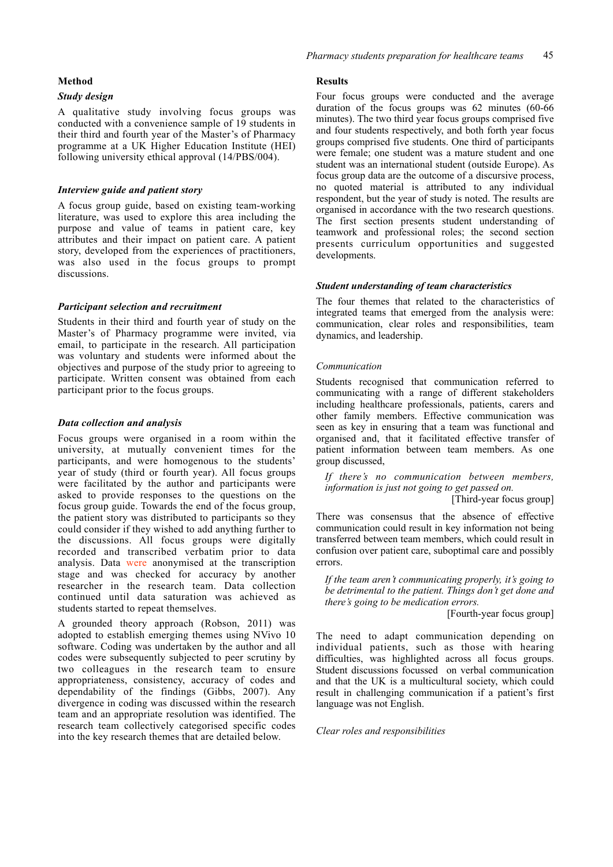#### **Method**

### *Study design*

A qualitative study involving focus groups was conducted with a convenience sample of 19 students in their third and fourth year of the Master's of Pharmacy programme at a UK Higher Education Institute (HEI) following university ethical approval (14/PBS/004).

#### *Interview guide and patient story*

A focus group guide, based on existing team-working literature, was used to explore this area including the purpose and value of teams in patient care, key attributes and their impact on patient care. A patient story, developed from the experiences of practitioners, was also used in the focus groups to prompt discussions.

#### *Participant selection and recruitment*

Students in their third and fourth year of study on the Master's of Pharmacy programme were invited, via email, to participate in the research. All participation was voluntary and students were informed about the objectives and purpose of the study prior to agreeing to participate. Written consent was obtained from each participant prior to the focus groups.

#### *Data collection and analysis*

Focus groups were organised in a room within the university, at mutually convenient times for the participants, and were homogenous to the students' year of study (third or fourth year). All focus groups were facilitated by the author and participants were asked to provide responses to the questions on the focus group guide. Towards the end of the focus group, the patient story was distributed to participants so they could consider if they wished to add anything further to the discussions. All focus groups were digitally recorded and transcribed verbatim prior to data analysis. Data were anonymised at the transcription stage and was checked for accuracy by another researcher in the research team. Data collection continued until data saturation was achieved as students started to repeat themselves.

A grounded theory approach (Robson, 2011) was adopted to establish emerging themes using NVivo 10 software. Coding was undertaken by the author and all codes were subsequently subjected to peer scrutiny by two colleagues in the research team to ensure appropriateness, consistency, accuracy of codes and dependability of the findings (Gibbs, 2007). Any divergence in coding was discussed within the research team and an appropriate resolution was identified. The research team collectively categorised specific codes into the key research themes that are detailed below.

#### **Results**

Four focus groups were conducted and the average duration of the focus groups was 62 minutes (60-66 minutes). The two third year focus groups comprised five and four students respectively, and both forth year focus groups comprised five students. One third of participants were female; one student was a mature student and one student was an international student (outside Europe). As focus group data are the outcome of a discursive process, no quoted material is attributed to any individual respondent, but the year of study is noted. The results are organised in accordance with the two research questions. The first section presents student understanding of teamwork and professional roles; the second section presents curriculum opportunities and suggested developments.

#### *Student understanding of team characteristics*

The four themes that related to the characteristics of integrated teams that emerged from the analysis were: communication, clear roles and responsibilities, team dynamics, and leadership.

#### *Communication*

Students recognised that communication referred to communicating with a range of different stakeholders including healthcare professionals, patients, carers and other family members. Effective communication was seen as key in ensuring that a team was functional and organised and, that it facilitated effective transfer of patient information between team members. As one group discussed,

*If there's no communication between members, information is just not going to get passed on.*

#### [Third-year focus group]

There was consensus that the absence of effective communication could result in key information not being transferred between team members, which could result in confusion over patient care, suboptimal care and possibly errors.

*If the team aren't communicating properly, it's going to be detrimental to the patient. Things don't get done and there's going to be medication errors.* 

[Fourth-year focus group]

The need to adapt communication depending on individual patients, such as those with hearing difficulties, was highlighted across all focus groups. Student discussions focussed on verbal communication and that the UK is a multicultural society, which could result in challenging communication if a patient's first language was not English.

#### *Clear roles and responsibilities*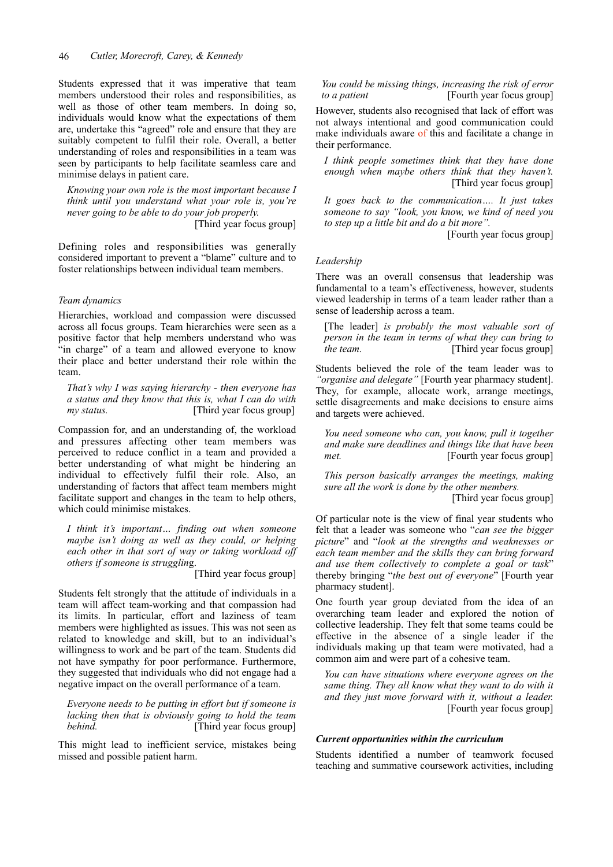Students expressed that it was imperative that team members understood their roles and responsibilities, as well as those of other team members. In doing so, individuals would know what the expectations of them are, undertake this "agreed" role and ensure that they are suitably competent to fulfil their role. Overall, a better understanding of roles and responsibilities in a team was seen by participants to help facilitate seamless care and minimise delays in patient care.

*Knowing your own role is the most important because I think until you understand what your role is, you're never going to be able to do your job properly.*  [Third year focus group]

Defining roles and responsibilities was generally considered important to prevent a "blame" culture and to

foster relationships between individual team members.

## *Team dynamics*

Hierarchies, workload and compassion were discussed across all focus groups. Team hierarchies were seen as a positive factor that help members understand who was "in charge" of a team and allowed everyone to know their place and better understand their role within the team.

*That's why I was saying hierarchy - then everyone has a status and they know that this is, what I can do with my status.* [Third year focus group]

Compassion for, and an understanding of, the workload and pressures affecting other team members was perceived to reduce conflict in a team and provided a better understanding of what might be hindering an individual to effectively fulfil their role. Also, an understanding of factors that affect team members might facilitate support and changes in the team to help others, which could minimise mistakes.

*I think it's important… finding out when someone maybe isn't doing as well as they could, or helping each other in that sort of way or taking workload off others if someone is strugglin*g.

[Third year focus group]

Students felt strongly that the attitude of individuals in a team will affect team-working and that compassion had its limits. In particular, effort and laziness of team members were highlighted as issues. This was not seen as related to knowledge and skill, but to an individual's willingness to work and be part of the team. Students did not have sympathy for poor performance. Furthermore, they suggested that individuals who did not engage had a negative impact on the overall performance of a team.

*Everyone needs to be putting in effort but if someone is lacking then that is obviously going to hold the team behind.* [Third year focus group]

This might lead to inefficient service, mistakes being missed and possible patient harm.

*You could be missing things, increasing the risk of error to a patient* [Fourth year focus group]

However, students also recognised that lack of effort was not always intentional and good communication could make individuals aware of this and facilitate a change in their performance.

*I think people sometimes think that they have done enough when maybe others think that they haven't.*  [Third year focus group]

*It goes back to the communication…. It just takes someone to say "look, you know, we kind of need you to step up a little bit and do a bit more".* 

[Fourth year focus group]

#### *Leadership*

There was an overall consensus that leadership was fundamental to a team's effectiveness, however, students viewed leadership in terms of a team leader rather than a sense of leadership across a team.

[The leader] *is probably the most valuable sort of person in the team in terms of what they can bring to the team.* [Third year focus group]

Students believed the role of the team leader was to *"organise and delegate"* [Fourth year pharmacy student]. They, for example, allocate work, arrange meetings, settle disagreements and make decisions to ensure aims and targets were achieved.

*You need someone who can, you know, pull it together and make sure deadlines and things like that have been met.* [Fourth year focus group]

*This person basically arranges the meetings, making sure all the work is done by the other members.* 

[Third year focus group]

Of particular note is the view of final year students who felt that a leader was someone who "*can see the bigger picture*" and "*look at the strengths and weaknesses or each team member and the skills they can bring forward and use them collectively to complete a goal or task*" thereby bringing "*the best out of everyone*" [Fourth year pharmacy student].

One fourth year group deviated from the idea of an overarching team leader and explored the notion of collective leadership. They felt that some teams could be effective in the absence of a single leader if the individuals making up that team were motivated, had a common aim and were part of a cohesive team.

*You can have situations where everyone agrees on the same thing. They all know what they want to do with it and they just move forward with it, without a leader.* [Fourth year focus group]

#### *Current opportunities within the curriculum*

Students identified a number of teamwork focused teaching and summative coursework activities, including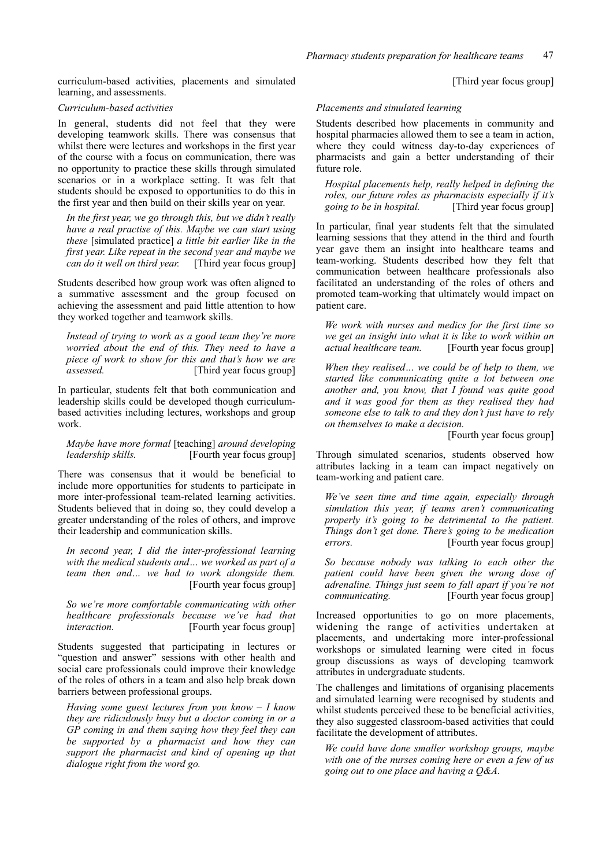curriculum-based activities, placements and simulated learning, and assessments.

#### *Curriculum-based activities*

In general, students did not feel that they were developing teamwork skills. There was consensus that whilst there were lectures and workshops in the first year of the course with a focus on communication, there was no opportunity to practice these skills through simulated scenarios or in a workplace setting. It was felt that students should be exposed to opportunities to do this in the first year and then build on their skills year on year.

*In the first year, we go through this, but we didn't really have a real practise of this. Maybe we can start using these* [simulated practice] *a little bit earlier like in the first year. Like repeat in the second year and maybe we can do it well on third year.* [Third year focus group]

Students described how group work was often aligned to a summative assessment and the group focused on achieving the assessment and paid little attention to how they worked together and teamwork skills.

*Instead of trying to work as a good team they're more worried about the end of this. They need to have a piece of work to show for this and that's how we are assessed.* [Third year focus group]

In particular, students felt that both communication and leadership skills could be developed though curriculumbased activities including lectures, workshops and group work.

*Maybe have more formal* [teaching] *around developing leadership skills.* [Fourth year focus group]

There was consensus that it would be beneficial to include more opportunities for students to participate in more inter-professional team-related learning activities. Students believed that in doing so, they could develop a greater understanding of the roles of others, and improve their leadership and communication skills.

*In second year, I did the inter-professional learning with the medical students and… we worked as part of a team then and… we had to work alongside them.* [Fourth year focus group]

*So we're more comfortable communicating with other healthcare professionals because we've had that interaction.* **[Fourth year focus group]** 

Students suggested that participating in lectures or "question and answer" sessions with other health and social care professionals could improve their knowledge of the roles of others in a team and also help break down barriers between professional groups.

*Having some guest lectures from you know – I know they are ridiculously busy but a doctor coming in or a GP coming in and them saying how they feel they can be supported by a pharmacist and how they can support the pharmacist and kind of opening up that dialogue right from the word go.* 

[Third year focus group]

#### *Placements and simulated learning*

Students described how placements in community and hospital pharmacies allowed them to see a team in action, where they could witness day-to-day experiences of pharmacists and gain a better understanding of their future role.

*Hospital placements help, really helped in defining the roles, our future roles as pharmacists especially if it's going to be in hospital.* [Third year focus group]

In particular, final year students felt that the simulated learning sessions that they attend in the third and fourth year gave them an insight into healthcare teams and team-working. Students described how they felt that communication between healthcare professionals also facilitated an understanding of the roles of others and promoted team-working that ultimately would impact on patient care.

*We work with nurses and medics for the first time so we get an insight into what it is like to work within an actual healthcare team.* [Fourth year focus group]

*When they realised… we could be of help to them, we started like communicating quite a lot between one another and, you know, that I found was quite good and it was good for them as they realised they had someone else to talk to and they don't just have to rely on themselves to make a decision.* 

[Fourth year focus group]

Through simulated scenarios, students observed how attributes lacking in a team can impact negatively on team-working and patient care.

*We've seen time and time again, especially through simulation this year, if teams aren't communicating properly it's going to be detrimental to the patient. Things don't get done. There's going to be medication errors.* [Fourth year focus group]

*So because nobody was talking to each other the patient could have been given the wrong dose of adrenaline. Things just seem to fall apart if you're not communicating.* [Fourth year focus group]

Increased opportunities to go on more placements, widening the range of activities undertaken at placements, and undertaking more inter-professional workshops or simulated learning were cited in focus group discussions as ways of developing teamwork attributes in undergraduate students.

The challenges and limitations of organising placements and simulated learning were recognised by students and whilst students perceived these to be beneficial activities, they also suggested classroom-based activities that could facilitate the development of attributes.

*We could have done smaller workshop groups, maybe with one of the nurses coming here or even a few of us going out to one place and having a Q&A.*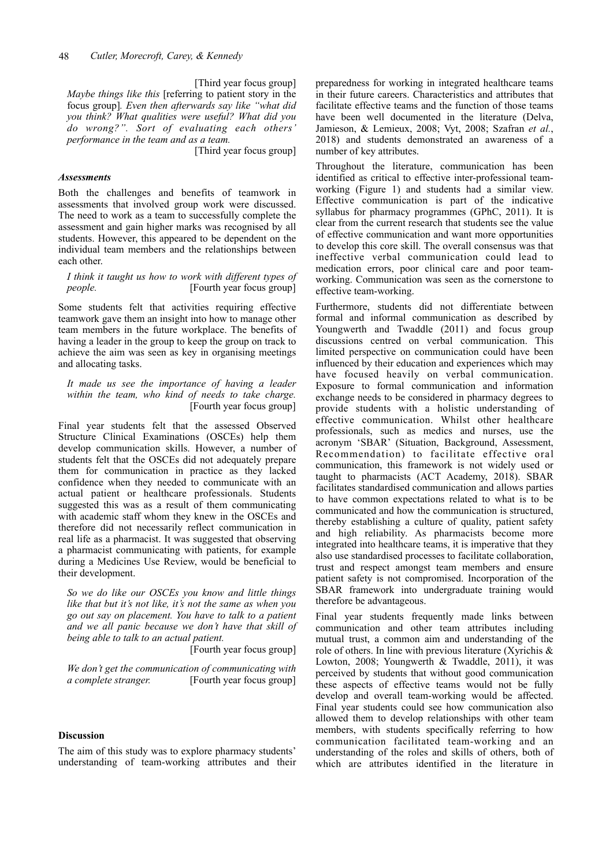[Third year focus group] *Maybe things like this* [referring to patient story in the focus group]*. Even then afterwards say like "what did you think? What qualities were useful? What did you do wrong?". Sort of evaluating each others' performance in the team and as a team.* 

[Third year focus group]

#### *Assessments*

Both the challenges and benefits of teamwork in assessments that involved group work were discussed. The need to work as a team to successfully complete the assessment and gain higher marks was recognised by all students. However, this appeared to be dependent on the individual team members and the relationships between each other.

*I think it taught us how to work with different types of people.* [Fourth year focus group]

Some students felt that activities requiring effective teamwork gave them an insight into how to manage other team members in the future workplace. The benefits of having a leader in the group to keep the group on track to achieve the aim was seen as key in organising meetings and allocating tasks.

*It made us see the importance of having a leader within the team, who kind of needs to take charge.*  [Fourth year focus group]

Final year students felt that the assessed Observed Structure Clinical Examinations (OSCEs) help them develop communication skills. However, a number of students felt that the OSCEs did not adequately prepare them for communication in practice as they lacked confidence when they needed to communicate with an actual patient or healthcare professionals. Students suggested this was as a result of them communicating with academic staff whom they knew in the OSCEs and therefore did not necessarily reflect communication in real life as a pharmacist. It was suggested that observing a pharmacist communicating with patients, for example during a Medicines Use Review, would be beneficial to their development.

*So we do like our OSCEs you know and little things like that but it's not like, it's not the same as when you go out say on placement. You have to talk to a patient and we all panic because we don't have that skill of being able to talk to an actual patient.* 

[Fourth year focus group]

*We don't get the communication of communicating with a complete stranger.* [Fourth year focus group]

#### **Discussion**

The aim of this study was to explore pharmacy students' understanding of team-working attributes and their preparedness for working in integrated healthcare teams in their future careers. Characteristics and attributes that facilitate effective teams and the function of those teams have been well documented in the literature (Delva, Jamieson, & Lemieux, 2008; Vyt, 2008; Szafran *et al.*, 2018) and students demonstrated an awareness of a number of key attributes.

Throughout the literature, communication has been identified as critical to effective inter-professional teamworking (Figure 1) and students had a similar view. Effective communication is part of the indicative syllabus for pharmacy programmes (GPhC, 2011). It is clear from the current research that students see the value of effective communication and want more opportunities to develop this core skill. The overall consensus was that ineffective verbal communication could lead to medication errors, poor clinical care and poor teamworking. Communication was seen as the cornerstone to effective team-working.

Furthermore, students did not differentiate between formal and informal communication as described by Youngwerth and Twaddle (2011) and focus group discussions centred on verbal communication. This limited perspective on communication could have been influenced by their education and experiences which may have focused heavily on verbal communication. Exposure to formal communication and information exchange needs to be considered in pharmacy degrees to provide students with a holistic understanding of effective communication. Whilst other healthcare professionals, such as medics and nurses, use the acronym 'SBAR' (Situation, Background, Assessment, Recommendation) to facilitate effective oral communication, this framework is not widely used or taught to pharmacists (ACT Academy, 2018). SBAR facilitates standardised communication and allows parties to have common expectations related to what is to be communicated and how the communication is structured, thereby establishing a culture of quality, patient safety and high reliability. As pharmacists become more integrated into healthcare teams, it is imperative that they also use standardised processes to facilitate collaboration, trust and respect amongst team members and ensure patient safety is not compromised. Incorporation of the SBAR framework into undergraduate training would therefore be advantageous.

Final year students frequently made links between communication and other team attributes including mutual trust, a common aim and understanding of the role of others. In line with previous literature (Xyrichis & Lowton, 2008; Youngwerth & Twaddle, 2011), it was perceived by students that without good communication these aspects of effective teams would not be fully develop and overall team-working would be affected. Final year students could see how communication also allowed them to develop relationships with other team members, with students specifically referring to how communication facilitated team-working and an understanding of the roles and skills of others, both of which are attributes identified in the literature in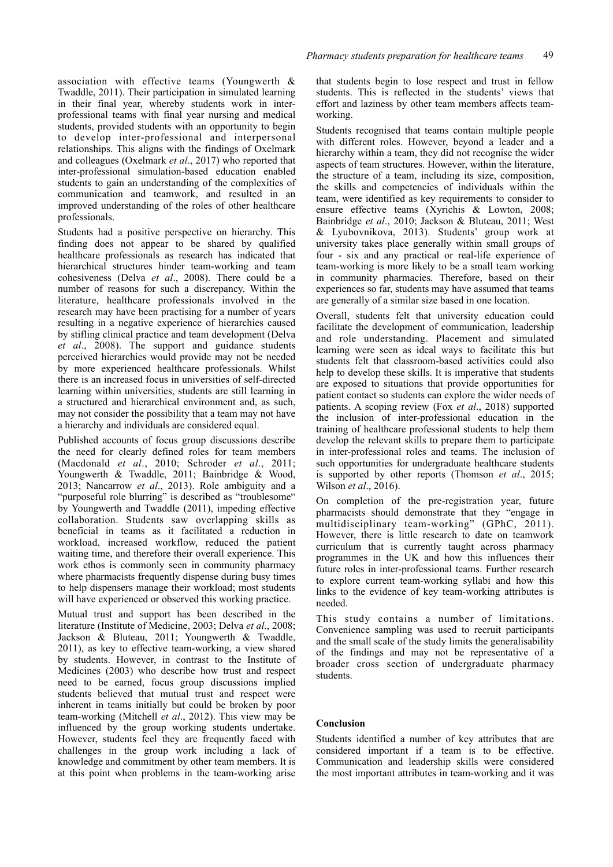association with effective teams (Youngwerth & Twaddle, 2011). Their participation in simulated learning in their final year, whereby students work in interprofessional teams with final year nursing and medical students, provided students with an opportunity to begin to develop inter-professional and interpersonal relationships. This aligns with the findings of Oxelmark and colleagues (Oxelmark *et al*., 2017) who reported that inter-professional simulation-based education enabled students to gain an understanding of the complexities of communication and teamwork, and resulted in an improved understanding of the roles of other healthcare professionals.

Students had a positive perspective on hierarchy. This finding does not appear to be shared by qualified healthcare professionals as research has indicated that hierarchical structures hinder team-working and team cohesiveness (Delva *et al*., 2008). There could be a number of reasons for such a discrepancy. Within the literature, healthcare professionals involved in the research may have been practising for a number of years resulting in a negative experience of hierarchies caused by stifling clinical practice and team development (Delva *et al*., 2008). The support and guidance students perceived hierarchies would provide may not be needed by more experienced healthcare professionals. Whilst there is an increased focus in universities of self-directed learning within universities, students are still learning in a structured and hierarchical environment and, as such, may not consider the possibility that a team may not have a hierarchy and individuals are considered equal.

Published accounts of focus group discussions describe the need for clearly defined roles for team members (Macdonald *et al*., 2010; Schroder *et al*., 2011; Youngwerth & Twaddle, 2011; Bainbridge & Wood, 2013; Nancarrow *et al*., 2013). Role ambiguity and a "purposeful role blurring" is described as "troublesome" by Youngwerth and Twaddle (2011), impeding effective collaboration. Students saw overlapping skills as beneficial in teams as it facilitated a reduction in workload, increased workflow, reduced the patient waiting time, and therefore their overall experience. This work ethos is commonly seen in community pharmacy where pharmacists frequently dispense during busy times to help dispensers manage their workload; most students will have experienced or observed this working practice.

Mutual trust and support has been described in the literature (Institute of Medicine, 2003; Delva *et al*., 2008; Jackson & Bluteau, 2011; Youngwerth & Twaddle, 2011), as key to effective team-working, a view shared by students. However, in contrast to the Institute of Medicines (2003) who describe how trust and respect need to be earned, focus group discussions implied students believed that mutual trust and respect were inherent in teams initially but could be broken by poor team-working (Mitchell *et al*., 2012). This view may be influenced by the group working students undertake. However, students feel they are frequently faced with challenges in the group work including a lack of knowledge and commitment by other team members. It is at this point when problems in the team-working arise

that students begin to lose respect and trust in fellow students. This is reflected in the students' views that effort and laziness by other team members affects teamworking.

Students recognised that teams contain multiple people with different roles. However, beyond a leader and a hierarchy within a team, they did not recognise the wider aspects of team structures. However, within the literature, the structure of a team, including its size, composition, the skills and competencies of individuals within the team, were identified as key requirements to consider to ensure effective teams (Xyrichis & Lowton, 2008; Bainbridge *et al*., 2010; Jackson & Bluteau, 2011; West & Lyubovnikova, 2013). Students' group work at university takes place generally within small groups of four - six and any practical or real-life experience of team-working is more likely to be a small team working in community pharmacies. Therefore, based on their experiences so far, students may have assumed that teams are generally of a similar size based in one location.

Overall, students felt that university education could facilitate the development of communication, leadership and role understanding. Placement and simulated learning were seen as ideal ways to facilitate this but students felt that classroom-based activities could also help to develop these skills. It is imperative that students are exposed to situations that provide opportunities for patient contact so students can explore the wider needs of patients. A scoping review (Fox *et al*., 2018) supported the inclusion of inter-professional education in the training of healthcare professional students to help them develop the relevant skills to prepare them to participate in inter-professional roles and teams. The inclusion of such opportunities for undergraduate healthcare students is supported by other reports (Thomson *et al*., 2015; Wilson *et al*., 2016).

On completion of the pre-registration year, future pharmacists should demonstrate that they "engage in multidisciplinary team-working" (GPhC, 2011). However, there is little research to date on teamwork curriculum that is currently taught across pharmacy programmes in the UK and how this influences their future roles in inter-professional teams. Further research to explore current team-working syllabi and how this links to the evidence of key team-working attributes is needed.

This study contains a number of limitations. Convenience sampling was used to recruit participants and the small scale of the study limits the generalisability of the findings and may not be representative of a broader cross section of undergraduate pharmacy students.

#### **Conclusion**

Students identified a number of key attributes that are considered important if a team is to be effective. Communication and leadership skills were considered the most important attributes in team-working and it was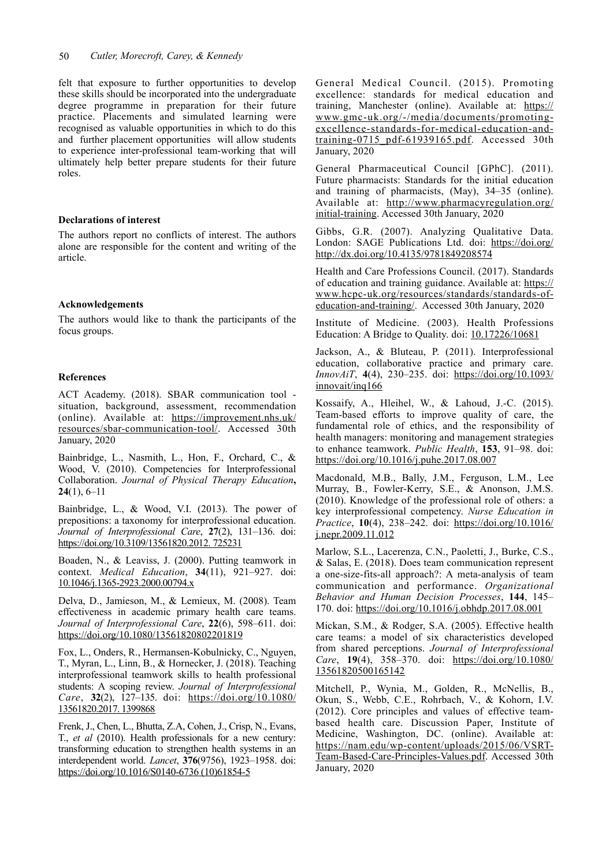felt that exposure to further opportunities to develop these skills should be incorporated into the undergraduate degree programme in preparation for their future practice. Placements and simulated learning were recognised as valuable opportunities in which to do this and further placement opportunities will allow students to experience inter-professional team-working that will ultimately help better prepare students for their future roles.

## **Declarations of interest**

The authors report no conflicts of interest. The authors alone are responsible for the content and writing of the article.

#### **Acknowledgements**

The authors would like to thank the participants of the focus groups.

#### **References**

ACT Academy. (2018). SBAR communication tool situation, background, assessment, recommendation (online). Available at: [https://improvement.nhs.uk/](https://improvement.nhs.uk/resources/sbar-communication-tool/) [resources/sbar-communication-tool/.](https://improvement.nhs.uk/resources/sbar-communication-tool/) Accessed 30th January, 2020

Bainbridge, L., Nasmith, L., Hon, F., Orchard, C., & Wood, V. (2010). Competencies for Interprofessional Collaboration. *Journal of Physical Therapy Education***, 24**(1), 6–11

Bainbridge, L., & Wood, V.I. (2013). The power of prepositions: a taxonomy for interprofessional education. *Journal of Interprofessional Care*, **27**(2), 131–136. doi: [https://doi.org/10.3109/13561820.2012. 725231](https://doi.org/10.3109/13561820.2012.725231)

Boaden, N., & Leaviss, J. (2000). Putting teamwork in context. *Medical Education*, **34**(11), 921–927. doi: [10.1046/j.1365-2923.2000.00794.x](https://doi.org/10.1046/j.1365-2923.2000.00794.x)

Delva, D., Jamieson, M., & Lemieux, M. (2008). Team effectiveness in academic primary health care teams. *Journal of Interprofessional Care*, **22**(6), 598–611. doi: <https://doi.org/10.1080/13561820802201819>

Fox, L., Onders, R., Hermansen-Kobulnicky, C., Nguyen, T., Myran, L., Linn, B., & Hornecker, J. (2018). Teaching interprofessional teamwork skills to health professional students: A scoping review. *Journal of Interprofessional Care*, **32**(2), 127–135. doi: [https://doi.org/10.1080/](https://doi.org/10.1080/13561820.2017.1399868)  [13561820.2017. 1399868](https://doi.org/10.1080/13561820.2017.1399868)

Frenk, J., Chen, L., Bhutta, Z.A, Cohen, J., Crisp, N., Evans, T., *et al* (2010). Health professionals for a new century: transforming education to strengthen health systems in an interdependent world. *Lancet*, **376**(9756), 1923–1958. doi: [https://doi.org/10.1016/S0140-6736 \(10\)61854-5](https://doi.org/10.1016/S0140-6736(10)61854-5)

General Medical Council. (2015). Promoting excellence: standards for medical education and training, Manchester (online). Available at: [https://](https://www.gmc-uk.org/-/media/documents/promoting-excellence-standards-for-medical-education-and-training-0715_pdf-61939165.pdf) [www.gmc-uk.org/-/media/documents/promoting](https://www.gmc-uk.org/-/media/documents/promoting-excellence-standards-for-medical-education-and-training-0715_pdf-61939165.pdf)[excellence-standards-for-medical-education-and](https://www.gmc-uk.org/-/media/documents/promoting-excellence-standards-for-medical-education-and-training-0715_pdf-61939165.pdf)[training-0715\\_pdf-61939165.pdf.](https://www.gmc-uk.org/-/media/documents/promoting-excellence-standards-for-medical-education-and-training-0715_pdf-61939165.pdf) Accessed 30th January, 2020

General Pharmaceutical Council [GPhC]. (2011). Future pharmacists: Standards for the initial education and training of pharmacists, (May), 34–35 (online). Available at: [http://www.pharmacyregulation.org/](http://www.pharmacyregulation.org/initial-training) [initial-training.](http://www.pharmacyregulation.org/initial-training) Accessed 30th January, 2020

Gibbs, G.R. (2007). Analyzing Qualitative Data. London: SAGE Publications Ltd. doi: [https://doi.org/](https://doi.org/http://dx.doi.org/10.4135/9781849208574) [http://dx.doi.org/10.4135/9781849208574](https://doi.org/http://dx.doi.org/10.4135/9781849208574)

Health and Care Professions Council. (2017). Standards of education and training guidance. Available at: [https://](https://www.hcpc-uk.org/resources/standards/standards-of-education-and-training/) [www.hcpc-uk.org/resources/standards/standards-of](https://www.hcpc-uk.org/resources/standards/standards-of-education-and-training/)[education-and-training/.](https://www.hcpc-uk.org/resources/standards/standards-of-education-and-training/) Accessed 30th January, 2020

Institute of Medicine. (2003). Health Professions Education: A Bridge to Quality. doi: [10.17226/10681](http://dx.crossref.org/10.17226/10681)

Jackson, A., & Bluteau, P. (2011). Interprofessional education, collaborative practice and primary care. *InnovAiT*, **4**(4), 230–235. doi: [https://doi.org/10.1093/](https://doi.org/10.1093/innovait/inq166) [innovait/inq166](https://doi.org/10.1093/innovait/inq166)

Kossaify, A., Hleihel, W., & Lahoud, J.-C. (2015). Team-based efforts to improve quality of care, the fundamental role of ethics, and the responsibility of health managers: monitoring and management strategies to enhance teamwork. *Public Health*, **153**, 91–98. doi: <https://doi.org/10.1016/j.puhe.2017.08.007>

Macdonald, M.B., Bally, J.M., Ferguson, L.M., Lee Murray, B., Fowler-Kerry, S.E., & Anonson, J.M.S. (2010). Knowledge of the professional role of others: a key interprofessional competency. *Nurse Education in Practice*, **10**(4), 238–242. doi: [https://doi.org/10.1016/](https://doi.org/10.1016/j.nepr.2009.11.012) [j.nepr.2009.11.012](https://doi.org/10.1016/j.nepr.2009.11.012)

Marlow, S.L., Lacerenza, C.N., Paoletti, J., Burke, C.S., & Salas, E. (2018). Does team communication represent a one-size-fits-all approach?: A meta-analysis of team communication and performance. *Organizational Behavior and Human Decision Processes*, **144**, 145– 170. doi: <https://doi.org/10.1016/j.obhdp.2017.08.001>

Mickan, S.M., & Rodger, S.A. (2005). Effective health care teams: a model of six characteristics developed from shared perceptions. *Journal of Interprofessional Care*, **19**(4), 358–370. doi: [https://doi.org/10.1080/](https://doi.org/10.1080/13561820500165142)  [13561820500165142](https://doi.org/10.1080/13561820500165142)

Mitchell, P., Wynia, M., Golden, R., McNellis, B., Okun, S., Webb, C.E., Rohrbach, V., & Kohorn, I.V. (2012). Core principles and values of effective teambased health care. Discussion Paper, Institute of Medicine, Washington, DC. (online). Available at: [https://nam.edu/wp-content/uploads/2015/06/VSRT-](https://nam.edu/wp-content/uploads/2015/06/VSRT-Team-Based-Care-Principles-Values.pdf)[Team-Based-Care-Principles-Values.pdf.](https://nam.edu/wp-content/uploads/2015/06/VSRT-Team-Based-Care-Principles-Values.pdf) Accessed 30th January, 2020